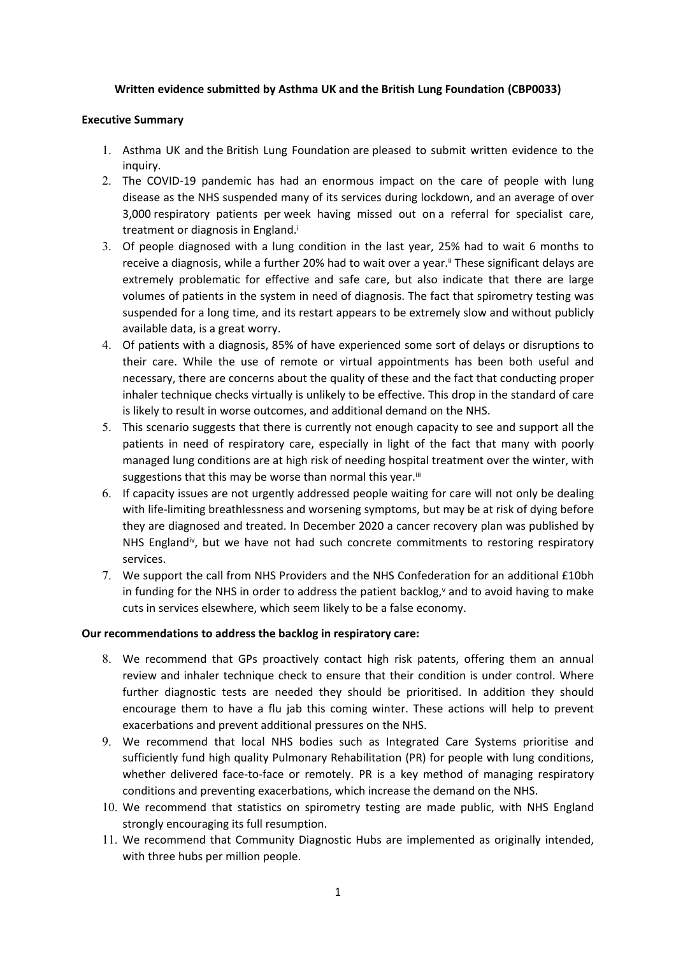### **Written evidence submitted by Asthma UK and the British Lung Foundation (CBP0033)**

#### **Executive Summary**

- 1. Asthma UK and the British Lung Foundation are pleased to submit written evidence to the inquiry.
- 2. The COVID-19 pandemic has had an enormous impact on the care of people with lung disease as the NHS suspended many of its services during lockdown, and an average of over 3,000 respiratory patients per week having missed out on a referral for specialist care, treatment or diagnosis in England.<sup>i</sup>
- 3. Of people diagnosed with a lung condition in the last year, 25% had to wait 6 months to receive a diagnosis, while a further 20% had to wait over a year.<sup>ii</sup> These significant delays are extremely problematic for effective and safe care, but also indicate that there are large volumes of patients in the system in need of diagnosis. The fact that spirometry testing was suspended for a long time, and its restart appears to be extremely slow and without publicly available data, is a great worry.
- 4. Of patients with a diagnosis, 85% of have experienced some sort of delays or disruptions to their care. While the use of remote or virtual appointments has been both useful and necessary, there are concerns about the quality of these and the fact that conducting proper inhaler technique checks virtually is unlikely to be effective. This drop in the standard of care is likely to result in worse outcomes, and additional demand on the NHS.
- 5. This scenario suggests that there is currently not enough capacity to see and support all the patients in need of respiratory care, especially in light of the fact that many with poorly managed lung conditions are at high risk of needing hospital treatment over the winter, with suggestions that this may be worse than normal this year.<sup>iii</sup>
- 6. If capacity issues are not urgently addressed people waiting for care will not only be dealing with life-limiting breathlessness and worsening symptoms, but may be at risk of dying before they are diagnosed and treated. In December 2020 a cancer recovery plan was published by NHS England<sup>iv</sup>, but we have not had such concrete commitments to restoring respiratory services.
- 7. We support the call from NHS Providers and the NHS Confederation for an additional £10bh in funding for the NHS in order to address the patient backlog, $\gamma$  and to avoid having to make cuts in services elsewhere, which seem likely to be a false economy.

#### **Our recommendations to address the backlog in respiratory care:**

- 8. We recommend that GPs proactively contact high risk patents, offering them an annual review and inhaler technique check to ensure that their condition is under control. Where further diagnostic tests are needed they should be prioritised. In addition they should encourage them to have a flu jab this coming winter. These actions will help to prevent exacerbations and prevent additional pressures on the NHS.
- 9. We recommend that local NHS bodies such as Integrated Care Systems prioritise and sufficiently fund high quality Pulmonary Rehabilitation (PR) for people with lung conditions, whether delivered face-to-face or remotely. PR is a key method of managing respiratory conditions and preventing exacerbations, which increase the demand on the NHS.
- 10. We recommend that statistics on spirometry testing are made public, with NHS England strongly encouraging its full resumption.
- 11. We recommend that Community Diagnostic Hubs are implemented as originally intended, with three hubs per million people.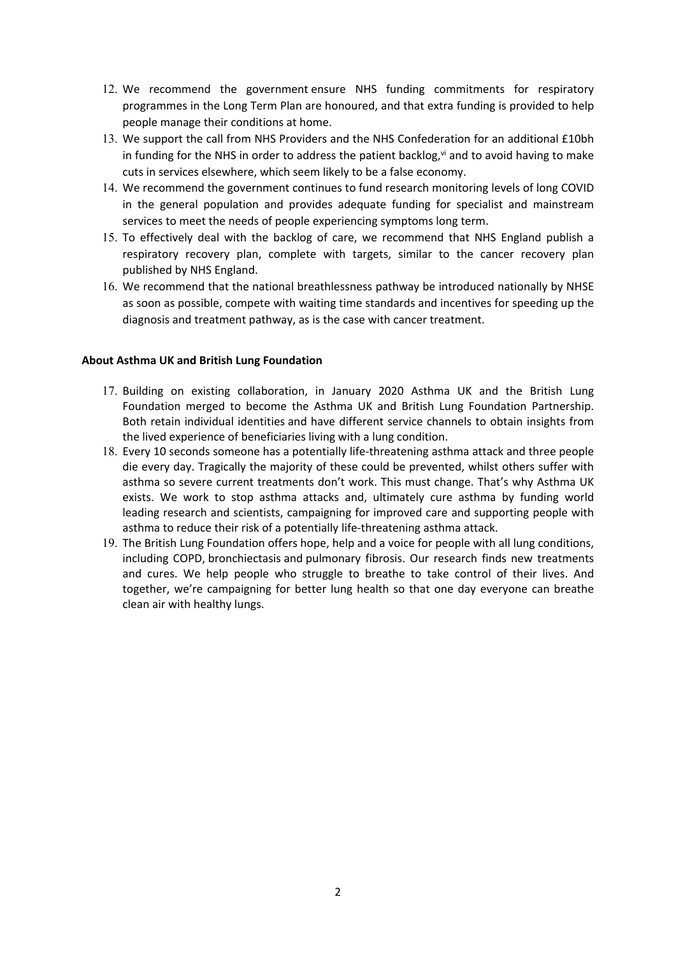- 12. We recommend the government ensure NHS funding commitments for respiratory programmes in the Long Term Plan are honoured, and that extra funding is provided to help people manage their conditions at home.
- 13. We support the call from NHS Providers and the NHS Confederation for an additional £10bh in funding for the NHS in order to address the patient backlog, $\vec{v}$  and to avoid having to make cuts in services elsewhere, which seem likely to be a false economy.
- 14. We recommend the government continues to fund research monitoring levels of long COVID in the general population and provides adequate funding for specialist and mainstream services to meet the needs of people experiencing symptoms long term.
- 15. To effectively deal with the backlog of care, we recommend that NHS England publish a respiratory recovery plan, complete with targets, similar to the cancer recovery plan published by NHS England.
- 16. We recommend that the national breathlessness pathway be introduced nationally by NHSE as soon as possible, compete with waiting time standards and incentives for speeding up the diagnosis and treatment pathway, as is the case with cancer treatment.

#### **About Asthma UK and British Lung Foundation**

- 17. Building on existing collaboration, in January 2020 Asthma UK and the British Lung Foundation merged to become the Asthma UK and British Lung Foundation Partnership. Both retain individual identities and have different service channels to obtain insights from the lived experience of beneficiaries living with a lung condition.
- 18. Every 10 seconds someone has a potentially life-threatening asthma attack and three people die every day. Tragically the majority of these could be prevented, whilst others suffer with asthma so severe current treatments don't work. This must change. That's why Asthma UK exists. We work to stop asthma attacks and, ultimately cure asthma by funding world leading research and scientists, campaigning for improved care and supporting people with asthma to reduce their risk of a potentially life-threatening asthma attack.
- 19. The British Lung Foundation offers hope, help and a voice for people with all lung conditions, including COPD, bronchiectasis and pulmonary fibrosis. Our research finds new treatments and cures. We help people who struggle to breathe to take control of their lives. And together, we're campaigning for better lung health so that one day everyone can breathe clean air with healthy lungs.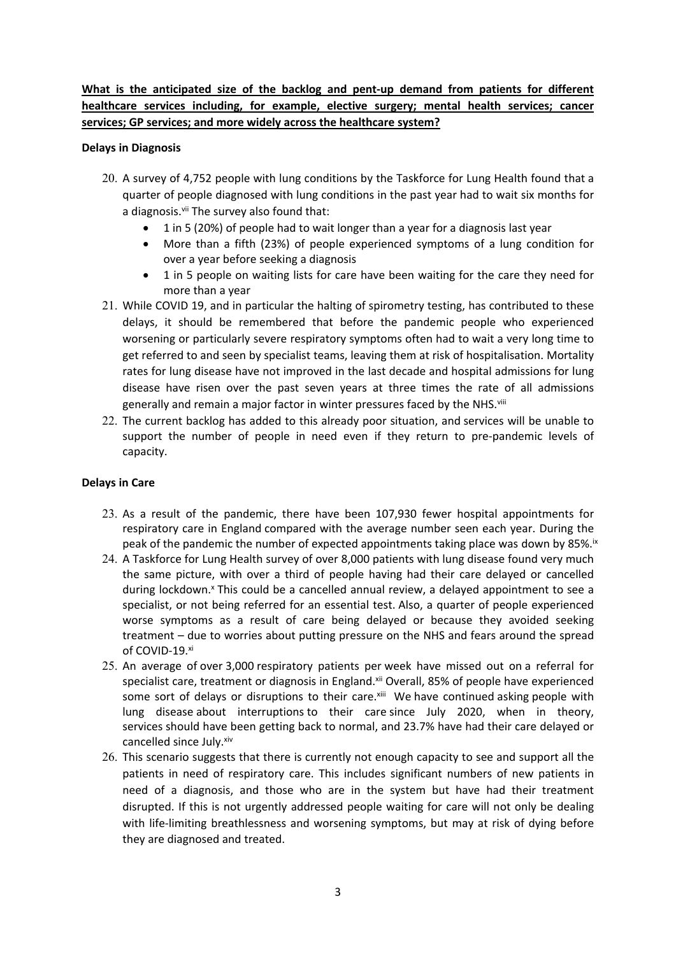# **What is the anticipated size of the backlog and pent-up demand from patients for different healthcare services including, for example, elective surgery; mental health services; cancer services; GP services; and more widely across the healthcare system?**

### **Delays in Diagnosis**

- 20. A survey of 4,752 people with lung conditions by the Taskforce for Lung Health found that a quarter of people diagnosed with lung conditions in the past year had to wait six months for a diagnosis.<sup>vii</sup> The survey also found that:
	- 1 in 5 (20%) of people had to wait longer than a year for a diagnosis last year
	- More than a fifth (23%) of people experienced symptoms of a lung condition for over a year before seeking a diagnosis
	- 1 in 5 people on waiting lists for care have been waiting for the care they need for more than a year
- 21. While COVID 19, and in particular the halting of spirometry testing, has contributed to these delays, it should be remembered that before the pandemic people who experienced worsening or particularly severe respiratory symptoms often had to wait a very long time to get referred to and seen by specialist teams, leaving them at risk of hospitalisation. Mortality rates for lung disease have not improved in the last decade and hospital admissions for lung disease have risen over the past seven years at three times the rate of all admissions generally and remain a major factor in winter pressures faced by the NHS.<sup>viii</sup>
- 22. The current backlog has added to this already poor situation, and services will be unable to support the number of people in need even if they return to pre-pandemic levels of capacity.

### **Delays in Care**

- 23. As a result of the pandemic, there have been 107,930 fewer hospital appointments for respiratory care in England compared with the average number seen each year. During the peak of the pandemic the number of expected appointments taking place was down by 85%.<sup>ix</sup>
- 24. A Taskforce for Lung Health survey of over 8,000 patients with lung disease found very much the same picture, with over a third of people having had their care delayed or cancelled during lockdown.<sup>x</sup> This could be a cancelled annual review, a delayed appointment to see a specialist, or not being referred for an essential test. Also, a quarter of people experienced worse symptoms as a result of care being delayed or because they avoided seeking treatment – due to worries about putting pressure on the NHS and fears around the spread of COVID-19.xi
- 25. An average of over 3,000 respiratory patients per week have missed out on a referral for specialist care, treatment or diagnosis in England.<sup>xii</sup> Overall, 85% of people have experienced some sort of delays or disruptions to their care.xill We have continued asking people with lung disease about interruptions to their care since July 2020, when in theory, services should have been getting back to normal, and 23.7% have had their care delayed or cancelled since July. xiv
- 26. This scenario suggests that there is currently not enough capacity to see and support all the patients in need of respiratory care. This includes significant numbers of new patients in need of a diagnosis, and those who are in the system but have had their treatment disrupted. If this is not urgently addressed people waiting for care will not only be dealing with life-limiting breathlessness and worsening symptoms, but may at risk of dying before they are diagnosed and treated.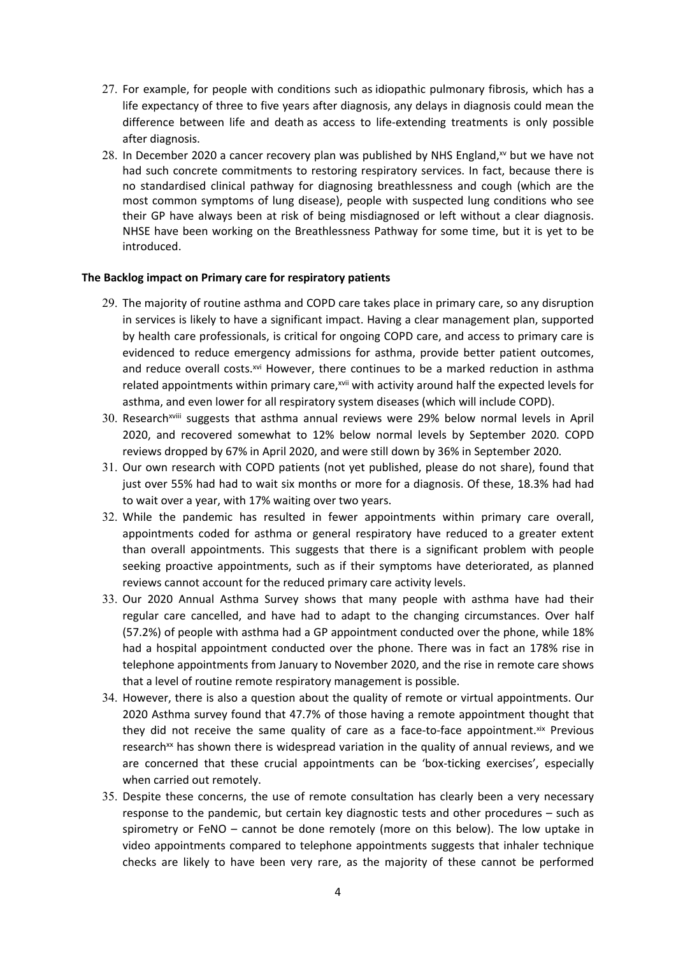- 27. For example, for people with conditions such as idiopathic pulmonary fibrosis, which has a life expectancy of three to five years after diagnosis, any delays in diagnosis could mean the difference between life and death as access to life-extending treatments is only possible after diagnosis.
- 28. In December 2020 a cancer recovery plan was published by NHS England, $x<sup>w</sup>$  but we have not had such concrete commitments to restoring respiratory services. In fact, because there is no standardised clinical pathway for diagnosing breathlessness and cough (which are the most common symptoms of lung disease), people with suspected lung conditions who see their GP have always been at risk of being misdiagnosed or left without a clear diagnosis. NHSE have been working on the Breathlessness Pathway for some time, but it is yet to be introduced.

#### **The Backlog impact on Primary care for respiratory patients**

- 29. The majority of routine asthma and COPD care takes place in primary care, so any disruption in services is likely to have a significant impact. Having a clear management plan, supported by health care professionals, is critical for ongoing COPD care, and access to primary care is evidenced to reduce emergency admissions for asthma, provide better patient outcomes, and reduce overall costs.xvi However, there continues to be a marked reduction in asthma related appointments within primary care,<sup>xvii</sup> with activity around half the expected levels for asthma, and even lower for all respiratory system diseases (which will include COPD).
- 30. Research<sup>xviii</sup> suggests that asthma annual reviews were 29% below normal levels in April 2020, and recovered somewhat to 12% below normal levels by September 2020. COPD reviews dropped by 67% in April 2020, and were still down by 36% in September 2020.
- 31. Our own research with COPD patients (not yet published, please do not share), found that just over 55% had had to wait six months or more for a diagnosis. Of these, 18.3% had had to wait over a year, with 17% waiting over two years.
- 32. While the pandemic has resulted in fewer appointments within primary care overall, appointments coded for asthma or general respiratory have reduced to a greater extent than overall appointments. This suggests that there is a significant problem with people seeking proactive appointments, such as if their symptoms have deteriorated, as planned reviews cannot account for the reduced primary care activity levels.
- 33. Our 2020 Annual Asthma Survey shows that many people with asthma have had their regular care cancelled, and have had to adapt to the changing circumstances. Over half (57.2%) of people with asthma had a GP appointment conducted over the phone, while 18% had a hospital appointment conducted over the phone. There was in fact an 178% rise in telephone appointments from January to November 2020, and the rise in remote care shows that a level of routine remote respiratory management is possible.
- 34. However, there is also a question about the quality of remote or virtual appointments. Our 2020 Asthma survey found that 47.7% of those having a remote appointment thought that they did not receive the same quality of care as a face-to-face appointment.<sup>xix</sup> Previous research<sup>xx</sup> has shown there is widespread variation in the quality of annual reviews, and we are concerned that these crucial appointments can be 'box-ticking exercises', especially when carried out remotely.
- 35. Despite these concerns, the use of remote consultation has clearly been a very necessary response to the pandemic, but certain key diagnostic tests and other procedures – such as spirometry or FeNO – cannot be done remotely (more on this below). The low uptake in video appointments compared to telephone appointments suggests that inhaler technique checks are likely to have been very rare, as the majority of these cannot be performed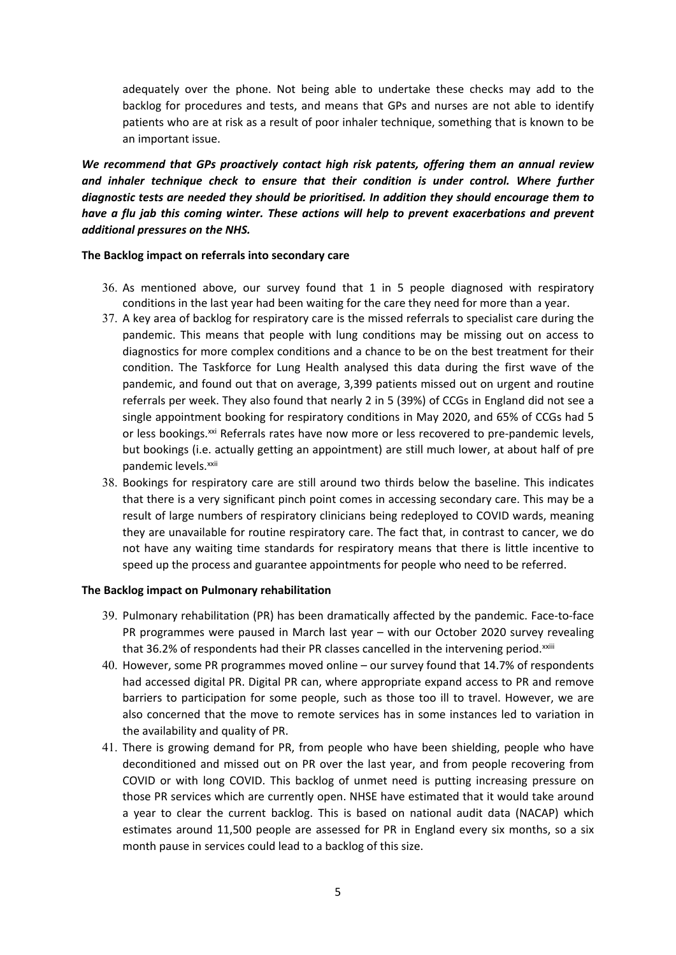adequately over the phone. Not being able to undertake these checks may add to the backlog for procedures and tests, and means that GPs and nurses are not able to identify patients who are at risk as a result of poor inhaler technique, something that is known to be an important issue.

*We recommend that GPs proactively contact high risk patents, offering them an annual review and inhaler technique check to ensure that their condition is under control. Where further diagnostic tests are needed they should be prioritised. In addition they should encourage them to have a flu jab this coming winter. These actions will help to prevent exacerbations and prevent additional pressures on the NHS.*

#### **The Backlog impact on referrals into secondary care**

- 36. As mentioned above, our survey found that 1 in 5 people diagnosed with respiratory conditions in the last year had been waiting for the care they need for more than a year.
- 37. A key area of backlog for respiratory care is the missed referrals to specialist care during the pandemic. This means that people with lung conditions may be missing out on access to diagnostics for more complex conditions and a chance to be on the best treatment for their condition. The Taskforce for Lung Health analysed this data during the first wave of the pandemic, and found out that on average, 3,399 patients missed out on urgent and routine referrals per week. They also found that nearly 2 in 5 (39%) of CCGs in England did not see a single appointment booking for respiratory conditions in May 2020, and 65% of CCGs had 5 or less bookings.<sup>xxi</sup> Referrals rates have now more or less recovered to pre-pandemic levels, but bookings (i.e. actually getting an appointment) are still much lower, at about half of pre pandemic levels.<sup>xxii</sup>
- 38. Bookings for respiratory care are still around two thirds below the baseline. This indicates that there is a very significant pinch point comes in accessing secondary care. This may be a result of large numbers of respiratory clinicians being redeployed to COVID wards, meaning they are unavailable for routine respiratory care. The fact that, in contrast to cancer, we do not have any waiting time standards for respiratory means that there is little incentive to speed up the process and guarantee appointments for people who need to be referred.

#### **The Backlog impact on Pulmonary rehabilitation**

- 39. Pulmonary rehabilitation (PR) has been dramatically affected by the pandemic. Face-to-face PR programmes were paused in March last year – with our October 2020 survey revealing that 36.2% of respondents had their PR classes cancelled in the intervening period.<sup>xxiii</sup>
- 40. However, some PR programmes moved online our survey found that 14.7% of respondents had accessed digital PR. Digital PR can, where appropriate expand access to PR and remove barriers to participation for some people, such as those too ill to travel. However, we are also concerned that the move to remote services has in some instances led to variation in the availability and quality of PR.
- 41. There is growing demand for PR, from people who have been shielding, people who have deconditioned and missed out on PR over the last year, and from people recovering from COVID or with long COVID. This backlog of unmet need is putting increasing pressure on those PR services which are currently open. NHSE have estimated that it would take around a year to clear the current backlog. This is based on national audit data (NACAP) which estimates around 11,500 people are assessed for PR in England every six months, so a six month pause in services could lead to a backlog of this size.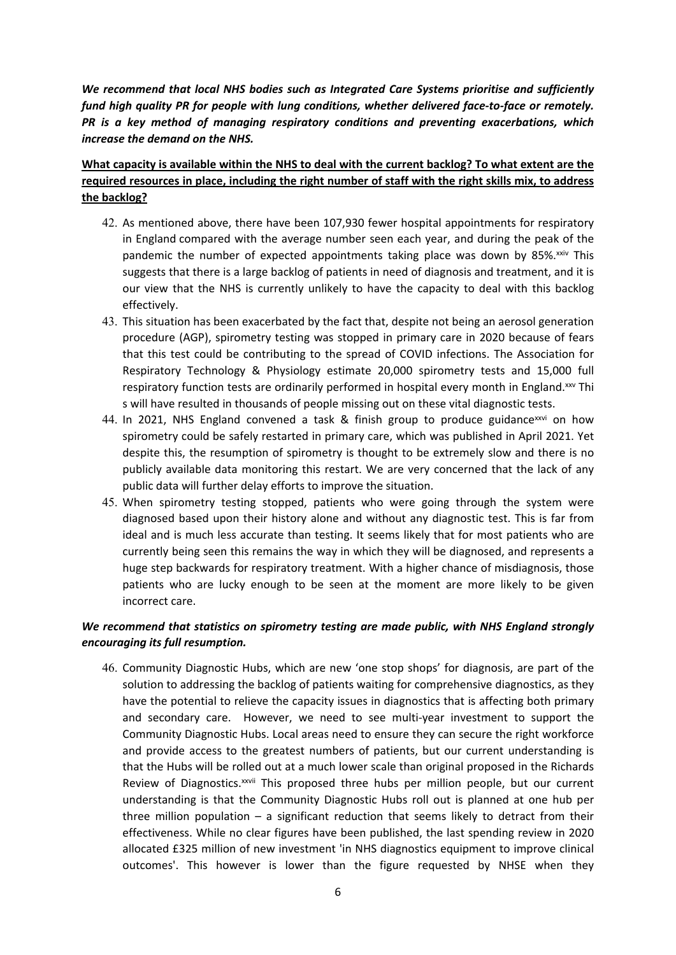*We recommend that local NHS bodies such as Integrated Care Systems prioritise and sufficiently fund high quality PR for people with lung conditions, whether delivered face-to-face or remotely. PR is a key method of managing respiratory conditions and preventing exacerbations, which increase the demand on the NHS.*

# **What capacity is available within the NHS to deal with the current backlog? To what extent are the required resources in place, including the right number of staff with the right skills mix, to address the backlog?**

- 42. As mentioned above, there have been 107,930 fewer hospital appointments for respiratory in England compared with the average number seen each year, and during the peak of the pandemic the number of expected appointments taking place was down by  $85\%$ <sup>xxiv</sup> This suggests that there is a large backlog of patients in need of diagnosis and treatment, and it is our view that the NHS is currently unlikely to have the capacity to deal with this backlog effectively.
- 43. This situation has been exacerbated by the fact that, despite not being an aerosol generation procedure (AGP), spirometry testing was stopped in primary care in 2020 because of fears that this test could be contributing to the spread of COVID infections. The Association for Respiratory Technology & Physiology estimate 20,000 spirometry tests and 15,000 full respiratory function tests are ordinarily performed in hospital every month in England.<sup>xxv</sup> Thi s will have resulted in thousands of people missing out on these vital diagnostic tests.
- 44. In 2021, NHS England convened a task & finish group to produce guidance  $xiv$  on how spirometry could be safely restarted in primary care, which was published in April 2021. Yet despite this, the resumption of spirometry is thought to be extremely slow and there is no publicly available data monitoring this restart. We are very concerned that the lack of any public data will further delay efforts to improve the situation.
- 45. When spirometry testing stopped, patients who were going through the system were diagnosed based upon their history alone and without any diagnostic test. This is far from ideal and is much less accurate than testing. It seems likely that for most patients who are currently being seen this remains the way in which they will be diagnosed, and represents a huge step backwards for respiratory treatment. With a higher chance of misdiagnosis, those patients who are lucky enough to be seen at the moment are more likely to be given incorrect care.

# *We recommend that statistics on spirometry testing are made public, with NHS England strongly encouraging its full resumption.*

46. Community Diagnostic Hubs, which are new 'one stop shops' for diagnosis, are part of the solution to addressing the backlog of patients waiting for comprehensive diagnostics, as they have the potential to relieve the capacity issues in diagnostics that is affecting both primary and secondary care. However, we need to see multi-year investment to support the Community Diagnostic Hubs. Local areas need to ensure they can secure the right workforce and provide access to the greatest numbers of patients, but our current understanding is that the Hubs will be rolled out at a much lower scale than original proposed in the Richards Review of Diagnostics.<sup>xxvii</sup> This proposed three hubs per million people, but our current understanding is that the Community Diagnostic Hubs roll out is planned at one hub per three million population  $-$  a significant reduction that seems likely to detract from their effectiveness. While no clear figures have been published, the last spending review in 2020 allocated £325 million of new investment 'in NHS diagnostics equipment to improve clinical outcomes'. This however is lower than the figure requested by NHSE when they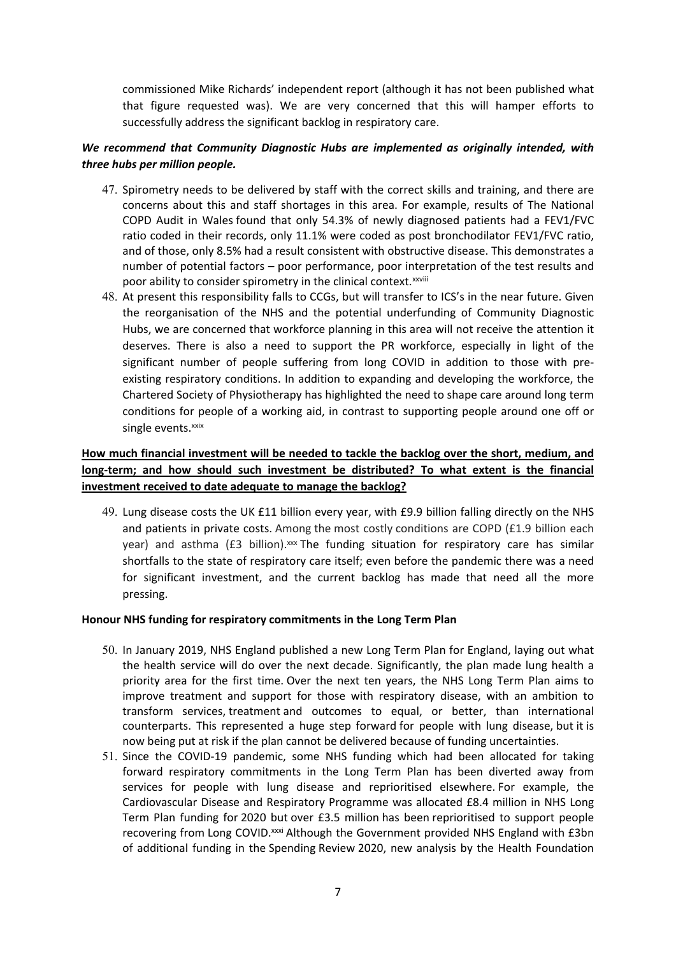commissioned Mike Richards' independent report (although it has not been published what that figure requested was). We are very concerned that this will hamper efforts to successfully address the significant backlog in respiratory care.

### *We recommend that Community Diagnostic Hubs are implemented as originally intended, with three hubs per million people.*

- 47. Spirometry needs to be delivered by staff with the correct skills and training, and there are concerns about this and staff shortages in this area. For example, results of The National COPD Audit in Wales found that only 54.3% of newly diagnosed patients had a FEV1/FVC ratio coded in their records, only 11.1% were coded as post bronchodilator FEV1/FVC ratio, and of those, only 8.5% had a result consistent with obstructive disease. This demonstrates a number of potential factors – poor performance, poor interpretation of the test results and poor ability to consider spirometry in the clinical context.<sup>xxviii</sup>
- 48. At present this responsibility falls to CCGs, but will transfer to ICS's in the near future. Given the reorganisation of the NHS and the potential underfunding of Community Diagnostic Hubs, we are concerned that workforce planning in this area will not receive the attention it deserves. There is also a need to support the PR workforce, especially in light of the significant number of people suffering from long COVID in addition to those with preexisting respiratory conditions. In addition to expanding and developing the workforce, the Chartered Society of Physiotherapy has highlighted the need to shape care around long term conditions for people of a working aid, in contrast to supporting people around one off or single events.xxix

# **How much financial investment will be needed to tackle the backlog over the short, medium, and long-term; and how should such investment be distributed? To what extent is the financial investment received to date adequate to manage the backlog?**

49. Lung disease costs the UK £11 billion every year, with £9.9 billion falling directly on the NHS and patients in private costs. Among the most costly conditions are COPD (£1.9 billion each year) and asthma (£3 billion).<sup>xxx</sup> The funding situation for respiratory care has similar shortfalls to the state of respiratory care itself; even before the pandemic there was a need for significant investment, and the current backlog has made that need all the more pressing.

#### **Honour NHS funding for respiratory commitments in the Long Term Plan**

- 50. In January 2019, NHS England published a new Long Term Plan for England, laying out what the health service will do over the next decade. Significantly, the plan made lung health a priority area for the first time. Over the next ten years, the NHS Long Term Plan aims to improve treatment and support for those with respiratory disease, with an ambition to transform services, treatment and outcomes to equal, or better, than international counterparts. This represented a huge step forward for people with lung disease, but it is now being put at risk if the plan cannot be delivered because of funding uncertainties.
- 51. Since the COVID-19 pandemic, some NHS funding which had been allocated for taking forward respiratory commitments in the Long Term Plan has been diverted away from services for people with lung disease and reprioritised elsewhere. For example, the Cardiovascular Disease and Respiratory Programme was allocated £8.4 million in NHS Long Term Plan funding for 2020 but over £3.5 million has been reprioritised to support people recovering from Long COVID.<sup>xxxi</sup> Although the Government provided NHS England with £3bn of additional funding in the Spending Review 2020, new analysis by the Health Foundation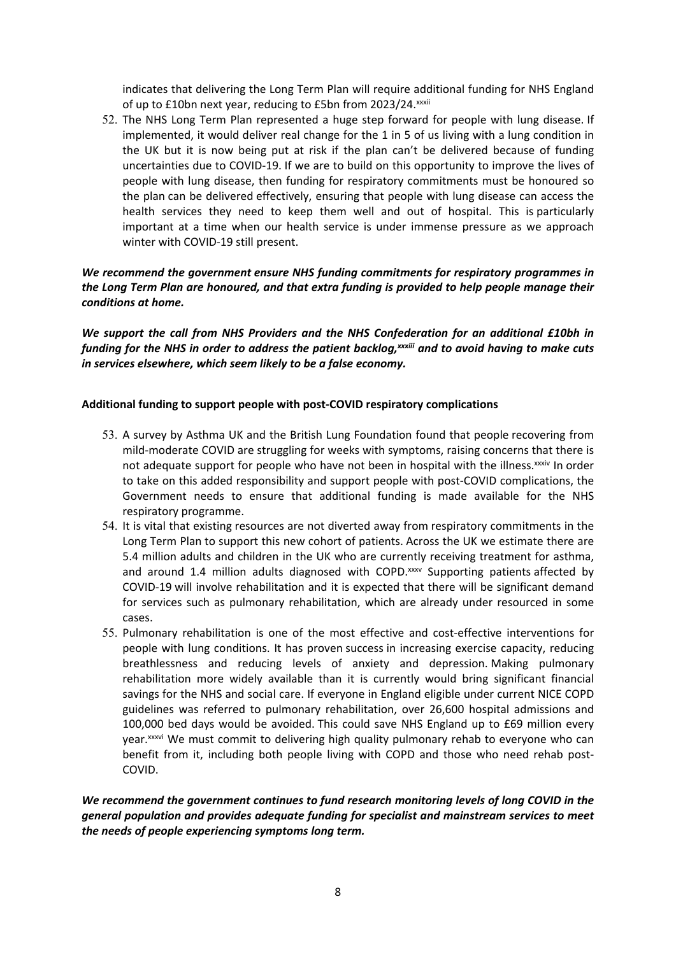indicates that delivering the Long Term Plan will require additional funding for NHS England of up to £10bn next year, reducing to £5bn from 2023/24. xxxii

52. The NHS Long Term Plan represented a huge step forward for people with lung disease. If implemented, it would deliver real change for the 1 in 5 of us living with a lung condition in the UK but it is now being put at risk if the plan can't be delivered because of funding uncertainties due to COVID-19. If we are to build on this opportunity to improve the lives of people with lung disease, then funding for respiratory commitments must be honoured so the plan can be delivered effectively, ensuring that people with lung disease can access the health services they need to keep them well and out of hospital. This is particularly important at a time when our health service is under immense pressure as we approach winter with COVID-19 still present.

### *We recommend the government ensure NHS funding commitments for respiratory programmes in the Long Term Plan are honoured, and that extra funding is provided to help people manage their conditions at home.*

*We support the call from NHS Providers and the NHS Confederation for an additional £10bh in* funding for the NHS in order to address the patient backlog, xxxiii and to avoid having to make cuts *in services elsewhere, which seem likely to be a false economy.*

#### **Additional funding to support people with post-COVID respiratory complications**

- 53. A survey by Asthma UK and the British Lung Foundation found that people recovering from mild-moderate COVID are struggling for weeks with symptoms, raising concerns that there is not adequate support for people who have not been in hospital with the illness. XXXIV In order to take on this added responsibility and support people with post-COVID complications, the Government needs to ensure that additional funding is made available for the NHS respiratory programme.
- 54. It is vital that existing resources are not diverted away from respiratory commitments in the Long Term Plan to support this new cohort of patients. Across the UK we estimate there are 5.4 million adults and children in the UK who are currently receiving treatment for asthma, and around 1.4 million adults diagnosed with COPD. $x_{xx}$  Supporting patients affected by COVID-19 will involve rehabilitation and it is expected that there will be significant demand for services such as pulmonary rehabilitation, which are already under resourced in some cases.
- 55. Pulmonary rehabilitation is one of the most effective and cost-effective interventions for people with lung conditions. It has proven success in increasing exercise capacity, reducing breathlessness and reducing levels of anxiety and depression. Making pulmonary rehabilitation more widely available than it is currently would bring significant financial savings for the NHS and social care. If everyone in England eligible under current NICE COPD guidelines was referred to pulmonary rehabilitation, over 26,600 hospital admissions and 100,000 bed days would be avoided. This could save NHS England up to £69 million every year.<sup>xxxvi</sup> We must commit to delivering high quality pulmonary rehab to everyone who can benefit from it, including both people living with COPD and those who need rehab post-COVID.

*We recommend the government continues to fund research monitoring levels of long COVID in the general population and provides adequate funding for specialist and mainstream services to meet the needs of people experiencing symptoms long term.*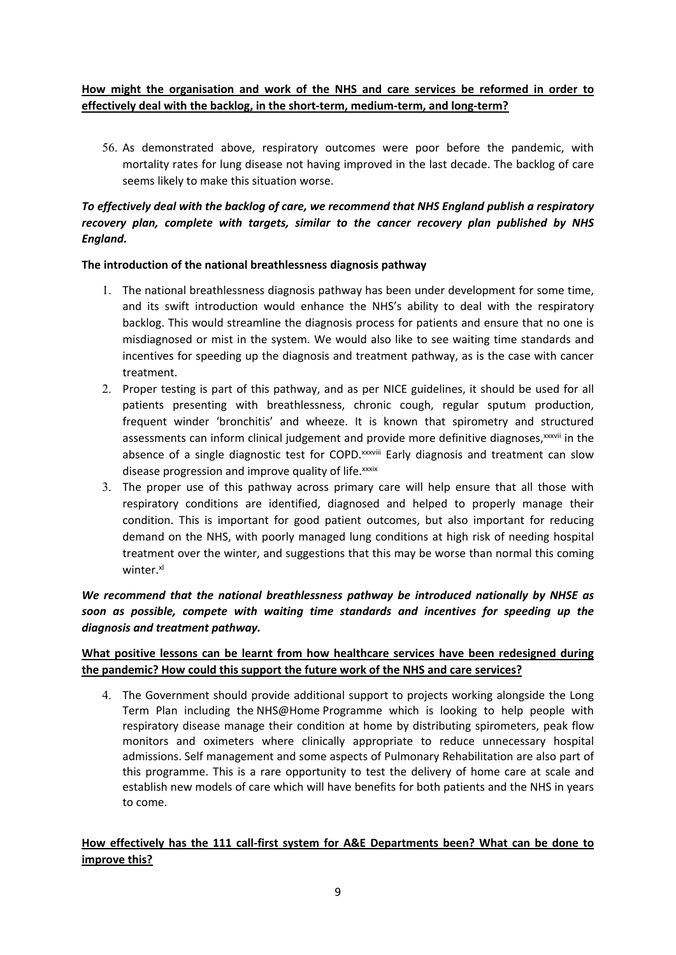# **How might the organisation and work of the NHS and care services be reformed in order to effectively deal with the backlog, in the short-term, medium-term, and long-term?**

56. As demonstrated above, respiratory outcomes were poor before the pandemic, with mortality rates for lung disease not having improved in the last decade. The backlog of care seems likely to make this situation worse.

# *To effectively deal with the backlog of care, we recommend that NHS England publish a respiratory recovery plan, complete with targets, similar to the cancer recovery plan published by NHS England.*

### **The introduction of the national breathlessness diagnosis pathway**

- 1. The national breathlessness diagnosis pathway has been under development for some time, and its swift introduction would enhance the NHS's ability to deal with the respiratory backlog. This would streamline the diagnosis process for patients and ensure that no one is misdiagnosed or mist in the system. We would also like to see waiting time standards and incentives for speeding up the diagnosis and treatment pathway, as is the case with cancer treatment.
- 2. Proper testing is part of this pathway, and as per NICE guidelines, it should be used for all patients presenting with breathlessness, chronic cough, regular sputum production, frequent winder 'bronchitis' and wheeze. It is known that spirometry and structured assessments can inform clinical judgement and provide more definitive diagnoses,<sup>xxxvii</sup> in the absence of a single diagnostic test for COPD.<sup>xxxviii</sup> Early diagnosis and treatment can slow disease progression and improve quality of life.<sup>xxxix</sup>
- 3. The proper use of this pathway across primary care will help ensure that all those with respiratory conditions are identified, diagnosed and helped to properly manage their condition. This is important for good patient outcomes, but also important for reducing demand on the NHS, with poorly managed lung conditions at high risk of needing hospital treatment over the winter, and suggestions that this may be worse than normal this coming winter.<sup>xl</sup>

### *We recommend that the national breathlessness pathway be introduced nationally by NHSE as soon as possible, compete with waiting time standards and incentives for speeding up the diagnosis and treatment pathway.*

# **What positive lessons can be learnt from how healthcare services have been redesigned during the pandemic? How could this support the future work of the NHS and care services?**

4. The Government should provide additional support to projects working alongside the Long Term Plan including the NHS@Home Programme which is looking to help people with respiratory disease manage their condition at home by distributing spirometers, peak flow monitors and oximeters where clinically appropriate to reduce unnecessary hospital admissions. Self management and some aspects of Pulmonary Rehabilitation are also part of this programme. This is a rare opportunity to test the delivery of home care at scale and establish new models of care which will have benefits for both patients and the NHS in years to come.

# **How effectively has the 111 call-first system for A&E Departments been? What can be done to improve this?**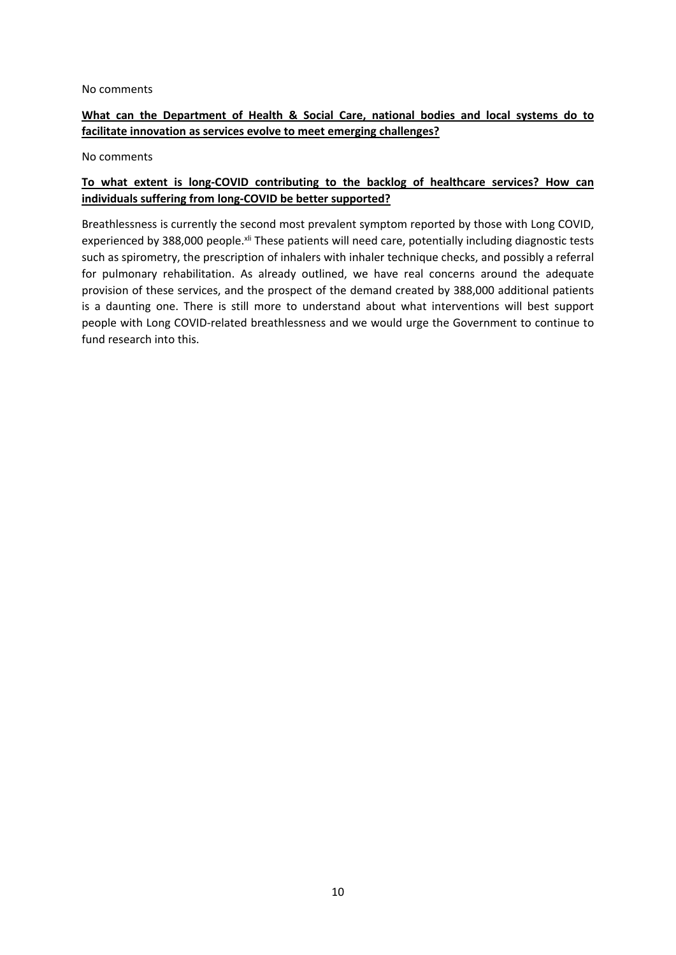#### No comments

### **What can the Department of Health & Social Care, national bodies and local systems do to facilitate innovation as services evolve to meet emerging challenges?**

No comments

# **To what extent is long-COVID contributing to the backlog of healthcare services? How can individuals suffering from long-COVID be better supported?**

Breathlessness is currently the second most prevalent symptom reported by those with Long COVID, experienced by 388,000 people.xli These patients will need care, potentially including diagnostic tests such as spirometry, the prescription of inhalers with inhaler technique checks, and possibly a referral for pulmonary rehabilitation. As already outlined, we have real concerns around the adequate provision of these services, and the prospect of the demand created by 388,000 additional patients is a daunting one. There is still more to understand about what interventions will best support people with Long COVID-related breathlessness and we would urge the Government to continue to fund research into this.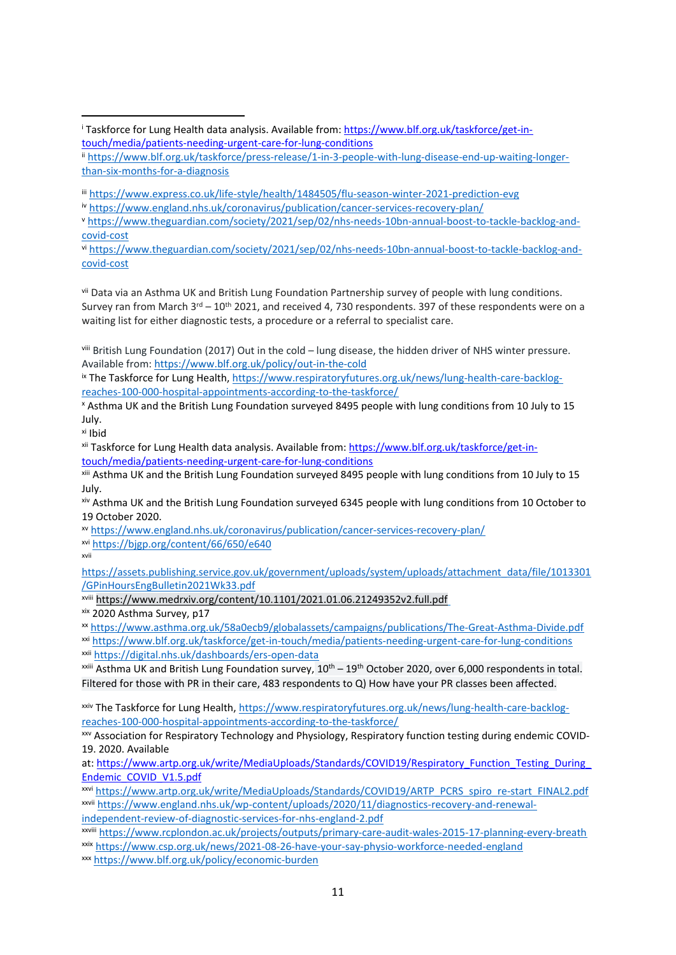vi [https://www.theguardian.com/society/2021/sep/02/nhs-needs-10bn-annual-boost-to-tackle-backlog-and](https://www.theguardian.com/society/2021/sep/02/nhs-needs-10bn-annual-boost-to-tackle-backlog-and-covid-cost)[covid-cost](https://www.theguardian.com/society/2021/sep/02/nhs-needs-10bn-annual-boost-to-tackle-backlog-and-covid-cost)

vii Data via an Asthma UK and British Lung Foundation Partnership survey of people with lung conditions. Survey ran from March 3<sup>rd</sup> – 10<sup>th</sup> 2021, and received 4, 730 respondents. 397 of these respondents were on a waiting list for either diagnostic tests, a procedure or a referral to specialist care.

viii British Lung Foundation (2017) Out in the cold – lung disease, the hidden driver of NHS winter pressure. Available from: <https://www.blf.org.uk/policy/out-in-the-cold>

ix The Taskforce for Lung Health, [https://www.respiratoryfutures.org.uk/news/lung-health-care-backlog](https://www.respiratoryfutures.org.uk/news/lung-health-care-backlog-reaches-100-000-hospital-appointments-according-to-the-taskforce/)[reaches-100-000-hospital-appointments-according-to-the-taskforce/](https://www.respiratoryfutures.org.uk/news/lung-health-care-backlog-reaches-100-000-hospital-appointments-according-to-the-taskforce/)

<sup>x</sup> Asthma UK and the British Lung Foundation surveyed 8495 people with lung conditions from 10 July to 15 July.

xi Ibid

xii Taskforce for Lung Health data analysis. Available from: [https://www.blf.org.uk/taskforce/get-in](https://www.blf.org.uk/taskforce/get-in-touch/media/patients-needing-urgent-care-for-lung-conditions)[touch/media/patients-needing-urgent-care-for-lung-conditions](https://www.blf.org.uk/taskforce/get-in-touch/media/patients-needing-urgent-care-for-lung-conditions)

xiii Asthma UK and the British Lung Foundation surveyed 8495 people with lung conditions from 10 July to 15 July.

xiv Asthma UK and the British Lung Foundation surveyed 6345 people with lung conditions from 10 October to 19 October 2020.

xv <https://www.england.nhs.uk/coronavirus/publication/cancer-services-recovery-plan/>

xvi <https://bjgp.org/content/66/650/e640>

xvii

[https://assets.publishing.service.gov.uk/government/uploads/system/uploads/attachment\\_data/file/1013301](https://assets.publishing.service.gov.uk/government/uploads/system/uploads/attachment_data/file/1013301/GPinHoursEngBulletin2021Wk33.pdf) [/GPinHoursEngBulletin2021Wk33.pdf](https://assets.publishing.service.gov.uk/government/uploads/system/uploads/attachment_data/file/1013301/GPinHoursEngBulletin2021Wk33.pdf)

xviii <https://www.medrxiv.org/content/10.1101/2021.01.06.21249352v2.full.pdf>

xix 2020 Asthma Survey, p17

xx <https://www.asthma.org.uk/58a0ecb9/globalassets/campaigns/publications/The-Great-Asthma-Divide.pdf>

xxi <https://www.blf.org.uk/taskforce/get-in-touch/media/patients-needing-urgent-care-for-lung-conditions>

xxii <https://digital.nhs.uk/dashboards/ers-open-data>

 $x^{\text{xiii}}$  Asthma UK and British Lung Foundation survey,  $10^{\text{th}} - 19^{\text{th}}$  October 2020, over 6,000 respondents in total. Filtered for those with PR in their care, 483 respondents to Q) How have your PR classes been affected.

xxiv The Taskforce for Lung Health, [https://www.respiratoryfutures.org.uk/news/lung-health-care-backlog](https://www.respiratoryfutures.org.uk/news/lung-health-care-backlog-reaches-100-000-hospital-appointments-according-to-the-taskforce/)[reaches-100-000-hospital-appointments-according-to-the-taskforce/](https://www.respiratoryfutures.org.uk/news/lung-health-care-backlog-reaches-100-000-hospital-appointments-according-to-the-taskforce/)

xxv Association for Respiratory Technology and Physiology, Respiratory function testing during endemic COVID-19. 2020. Available

at: https://www.artp.org.uk/write/MediaUploads/Standards/COVID19/Respiratory\_Function\_Testing\_During [Endemic\\_COVID\\_V1.5.pdf](https://www.artp.org.uk/write/MediaUploads/Standards/COVID19/Respiratory_Function_Testing_During_Endemic_COVID_V1.5.pdf)

xxvi [https://www.artp.org.uk/write/MediaUploads/Standards/COVID19/ARTP\\_PCRS\\_spiro\\_re-start\\_FINAL2.pdf](https://www.artp.org.uk/write/MediaUploads/Standards/COVID19/ARTP_PCRS_spiro_re-start_FINAL2.pdf) xxvii [https://www.england.nhs.uk/wp-content/uploads/2020/11/diagnostics-recovery-and-renewal](https://www.england.nhs.uk/wp-content/uploads/2020/11/diagnostics-recovery-and-renewal-independent-review-of-diagnostic-services-for-nhs-england-2.pdf)[independent-review-of-diagnostic-services-for-nhs-england-2.pdf](https://www.england.nhs.uk/wp-content/uploads/2020/11/diagnostics-recovery-and-renewal-independent-review-of-diagnostic-services-for-nhs-england-2.pdf)

xxviii <https://www.rcplondon.ac.uk/projects/outputs/primary-care-audit-wales-2015-17-planning-every-breath> xxix <https://www.csp.org.uk/news/2021-08-26-have-your-say-physio-workforce-needed-england>

xxx <https://www.blf.org.uk/policy/economic-burden>

<sup>&</sup>lt;sup>i</sup> Taskforce for Lung Health data analysis. Available from: [https://www.blf.org.uk/taskforce/get-in](https://www.blf.org.uk/taskforce/get-in-touch/media/patients-needing-urgent-care-for-lung-conditions)[touch/media/patients-needing-urgent-care-for-lung-conditions](https://www.blf.org.uk/taskforce/get-in-touch/media/patients-needing-urgent-care-for-lung-conditions)

ii [https://www.blf.org.uk/taskforce/press-release/1-in-3-people-with-lung-disease-end-up-waiting-longer](https://www.blf.org.uk/taskforce/press-release/1-in-3-people-with-lung-disease-end-up-waiting-longer-than-six-months-for-a-diagnosis)[than-six-months-for-a-diagnosis](https://www.blf.org.uk/taskforce/press-release/1-in-3-people-with-lung-disease-end-up-waiting-longer-than-six-months-for-a-diagnosis)

iii <https://www.express.co.uk/life-style/health/1484505/flu-season-winter-2021-prediction-evg>

iv <https://www.england.nhs.uk/coronavirus/publication/cancer-services-recovery-plan/>

<sup>v</sup> [https://www.theguardian.com/society/2021/sep/02/nhs-needs-10bn-annual-boost-to-tackle-backlog-and](https://www.theguardian.com/society/2021/sep/02/nhs-needs-10bn-annual-boost-to-tackle-backlog-and-covid-cost)[covid-cost](https://www.theguardian.com/society/2021/sep/02/nhs-needs-10bn-annual-boost-to-tackle-backlog-and-covid-cost)